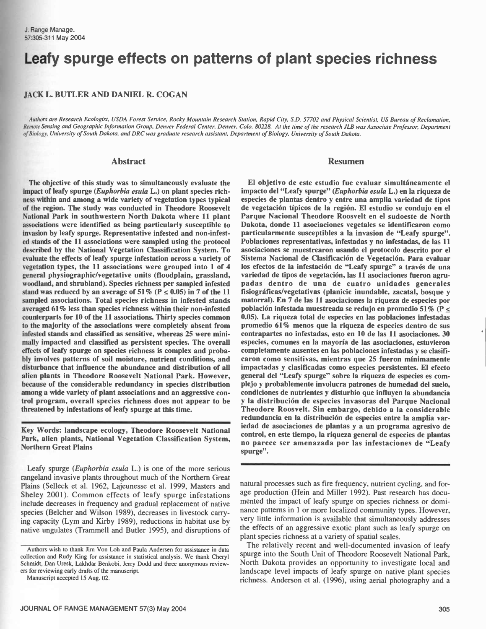# Leafy spurge effects on patterns of plant species richness

#### JACK L. BUTLER AND DANIEL R. COGAN

Authors are Research Ecologist, USDA Forest Service, Rocky Mountain Research Station, Rapid City, S.D. 57702 and Physical Scientist, US Bureau of Reclamation, Remote Sensing and Geographic Information Group, Denver Federal Center, Denver, Colo. 80228. At the time of the research JLB was Associate Professor, Department of Biology, University of South Dakota, and DRC was graduate research assistant, Department of Biology, University of South Dakota.

#### Abstract

The objective of this study was to simultaneously evaluate the impact of leafy spurge (Euphorbia esula L.) on plant species richness within and among a wide variety of vegetation types typical of the region. The study was conducted in Theodore Roosevelt National Park in southwestern North Dakota where 11 plant associations were identified as being particularly susceptible to invasion by leafy spurge. Representative infested and non-infested stands of the 11 associations were sampled using the protocol described by the National Vegetation Classification System. To evaluate the effects of leafy spurge infestation across a variety of vegetation types, the 11 associations were grouped into 1 of 4 los efectos de la infestación de "Leafy spurge" a través de una<br>general physiographic/vegetative units (floodplain, grassland, variedad de tipos de vegetación, general physiographic/vegetative units (floodplain, grassland, woodland, and shrubland). Species richness per sampled infested stand was reduced by an average of 51% ( $P \le 0.05$ ) in 7 of the 11 sampled associations. Total species richness in infested stands averaged 61% less than species richness within their non-infested counterparts for 10 of the 11 associations. Thirty species common to the majority of the associations were completely absent from infested stands and classified as sensitive, whereas 25 were minimally impacted and classified as persistent species. The overall effects of leafy spurge on species richness is complex and probably involves patterns of soil moisture, nutrient conditions, and disturbance that influence the abundance and distribution of all alien plants in Theodore Roosevelt National Park. However, because of the considerable redundancy in species distribution among a wide variety of plant associations and an aggressive control program, overall species richness does not appear to be threatened by infestations of leafy spurge at this time.

Key Words: landscape ecology, Theodore Roosevelt National Park, alien plants, National Vegetation Classification System, Northern Great Plains

Leafy spurge (Euphorbia esula L.) is one of the more serious rangeland invasive plants throughout much of the Northern Great Plains (Selleck et al. 1962, Lajeunesse et al. 1999, Masters and Sheley 2001). Common effects of leafy spurge infestations include decreases in frequency and gradual replacement of native species (Belcher and Wilson 1989), decreases in livestock carrying capacity (Lym and Kirby 1989), reductions in habitat use by native ungulates (Trammell and Butler 1995), and disruptions of

spurge".

natural processes such as fire frequency, nutrient cycling, and forage production (Hein and Miller 1992). Past research has documented the impact of leafy spurge on species richness or dominance patterns in 1 or more localized community types. However, very little information is available that simultaneously addresses the effects of an aggressive exotic plant such as leafy spurge on plant species richness at a variety of spatial scales.

Theodore Roosvelt. Sin embargo, debido a la considerable redundancia en la distribución de especies entre la amplia variedad de asociaciones de plantas y a un programa agresivo de control, en este tiempo, la riqueza general de especies de plantas no parece ser amenazada por las infestaciones de "Leafy

The relatively recent and well-documented invasion of leafy spurge into the South Unit of Theodore Roosevelt National Park, North Dakota provides an opportunity to investigate local and landscape level impacts of leafy spurge on native plant species richness. Anderson et al. (1996), using aerial photography and a

# Resumen

El objetivo de este estudio fue evaluar simultáneamente el impacto del "Leafy spurge" (Euphorbia esula L.) en la riqueza de especies de plantas dentro y entre una amplia variedad de tipos de vegetación típicos de la región. El estudio se condujo en el Parque Nacional Theodore Roosvelt en el sudoeste de North Dakota, donde 11 asociaciones vegetales se identificaron como particularmente susceptibles a la invasion de "Leafy spurge". Poblaciones representativas, infestadas y no infestadas, de las 11 asociaciones se muestrearon usando el protocolo descrito por el Sistema Nacional de Clasificación de Vegetación. Para evaluar los efectos de la infestación de "Leafy spurge" a través de una

padas dentro de una de cuatro unidades generales fisiográficas/vegetativas (planicie inundable, zacatal, bosque y matorral). En 7 de las 11 asociaciones la riqueza de especies por población infestada muestreada se redujo en promedio 51% (P  $\leq$ 0.05). La riqueza total de especies en las poblaciones infestadas promedio 61% menos que la riqueza de especies dentro de sus contrapartes no infestadas, esto en 10 de las 11 asociaciones. 30 especies, comunes en la mayoría de las asociaciones, estuvieron completamente ausentes en las poblaciones infestadas y se clasificaron como sensitivas, mientras que 25 fueron mínimamente impactadas y clasificadas como especies persistentes. El efecto general del "Leafy spurge" sobre la riqueza de especies es complejo y probablemente involucra patrones de humedad del suelo, condiciones de nutrientes y disturbio que influyen la abundancia

Authors wish to thank Jim Von Loh and Paula Andersen for assistance in data collection and Rudy King for assistance in statistical analysis. We thank Cheryl Schmidt, Dan Uresk, Lakhdar Benkobi, Jerry Dodd and three anonymous reviewers for reviewing early drafts of the manuscript.

Manuscript accepted 15 Aug. 02.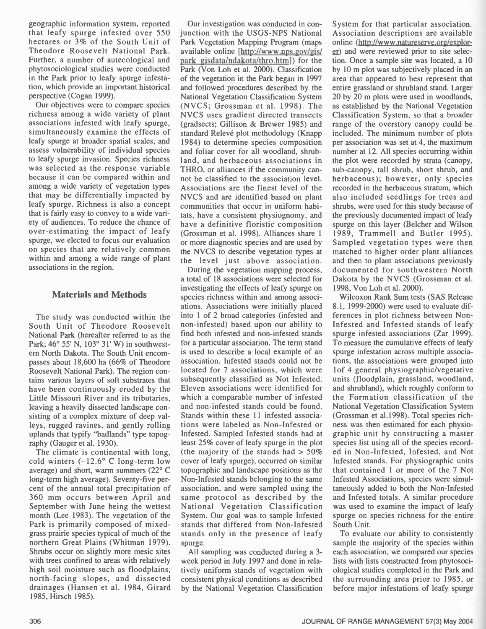geographic information system, reported that leafy spurge infested over 550 hectares or 3% of the South Unit of Theodore Roosevelt National Park. Further, a number of autecological and phytosociological studies were conducted in the Park prior to leafy spurge infestation, which provide an important historical perspective (Cogan 1999).

Our objectives were to compare species richness among a wide variety of plant associations infested with leafy spurge, simultaneously examine the effects of leafy spurge at broader spatial scales, and assess vulnerability of individual species to leafy spurge invasion. Species richness was selected as the response variable because it can be compared within and among a wide variety of vegetation types that may be differentially impacted by leafy spurge. Richness is also a concept that is fairly easy to convey to a wide variety of audiences. To reduce the chance of over-estimating the impact of leafy spurge, we elected to focus our evaluation on species that are relatively common within and among a wide range of plant associations in the region.

# Materials and Methods

The study was conducted within the South Unit of Theodore Roosevelt National Park (hereafter referred to as the Park; 46° 55' N, 103° 31' W) in southwestern North Dakota. The South Unit encompasses about 18,600 ha (66% of Theodore Roosevelt National Park). The region contains various layers of soft substrates that have been continuously eroded by the Little Missouri River and its tributaries, leaving a heavily dissected landscape consisting of a complex mixture of deep valleys, rugged ravines, and gently rolling uplands that typify "badlands" type topography (Gauger et al. 1930).

The climate is continental with long, cold winters  $(-12.6^{\circ} \text{ C long-term low})$ average) and short, warm summers (22° C long-term high average). Seventy-five percent of the annual total precipitation of 360 mm occurs between April and same protocol as described by the September with June being the wettest month (Lee 1983). The vegetation of the Park is primarily composed of mixedgrass prairie species typical of much of the northern Great Plains (Whitman 1979). Shrubs occur on slightly more mesic sites with trees confined to areas with relatively high soil moisture such as floodplains, north-facing slopes, and dissected drainages (Hansen et al. 1984, Girard 1985, Hirsch 1985).

Our investigation was conducted in conjunction with the USGS-NPS National Park Vegetation Mapping Program (maps available online [http://www.nps.gov/gis/ park gisdata/ndakota/thro.html) for the Park (Von Loh et al. 2000). Classification of the vegetation in the Park began in 1997 and followed procedures described by the National Vegetation Classification System (NVCS; Grossman et al. 1998). The NVCS uses gradient directed transects (gradsects; Gillison & Brewer 1985) and standard Relevé plot methodology (Knapp 1984) to determine species composition and foliar cover for all woodland, shrubland, and herbaceous associations in THRO, or alliances if the community cannot be classified to the association level. Associations are the finest level of the NVCS and are identified based on plant communities that occur in uniform habitats, have a consistent physiognomy, and have a definitive floristic composition (Grossman et al. 1998). Alliances share 1 or more diagnostic species and are used by the NVCS to describe vegetation types at the level just above association.

During the vegetation mapping process, a total of 18 associations were selected for investigating the effects of leafy spurge on species richness within and among associations. Associations were initially placed into 1 of 2 broad categories (infested and non-infested) based upon our ability to find both infested and non-infested stands for a particular association. The term stand is used to describe a local example of an association. Infested stands could not be located for 7 associations, which were subsequently classified as Not Infested. Eleven associations were identified for which a comparable number of infested and non-infested stands could be found. Stands within these 11 infested associations were labeled as Non Infested or Infested. Sampled Infested stands had at least 25% cover of leafy spurge in the plot (the majority of the stands had  $> 50\%$ cover of leafy spurge), occurred on similar topographic and landscape positions as the Non-Infested stands belonging to the same association, and were sampled using the National Vegetation Classification System. Our goal was to sample Infested stands that differed from Non-Infested stands only in the presence of leafy spurge.

All sampling was conducted during a 3 week period in July 1997 and done in relatively uniform stands of vegetation with consistent physical conditions as described by the National Vegetation Classification

System for that particular association. Association descriptions are available online (http://www.natureserve.org/explorer) and were reviewed prior to site selection. Once a sample site was located, a 10 by 10 m plot was subjectively placed in an area that appeared to best represent that entire grassland or shrubland stand. Larger 20 by 20 m plots were used in woodlands, as established by the National Vegetation Classification System, so that a broader range of the overstory canopy could be included. The minimum number of plots per association was set at 4, the maximum number at 12. All species occurring within the plot were recorded by strata (canopy, sub canopy, tall shrub, short shrub, and herbaceous); however, only species recorded in the herbaceous stratum, which also included seedlings for trees and shrubs, were used for this study because of the previously documented impact of leafy spurge on this layer (Belcher and Wilson 1989, Trammell and Butler 1995). Sampled vegetation types were then matched to higher order plant alliances and then to plant associations previously documented for southwestern North Dakota by the NVCS (Grossman et al. 1998, Von Loh et al. 2000).

Wilcoxon Rank Sum tests (SAS Release 8.1, 1999-2000) were used to evaluate differences in plot richness between Non-Infested and Infested stands of leafy spurge infested associations (Zar 1999). To measure the cumulative effects of leafy spurge infestation across multiple associations, the associations were grouped into 1 of 4 general physiographic/vegetative units (floodplain, grassland, woodland, and shrubland), which roughly conform to the Formation classification of the National Vegetation Classification System (Grossman et aí.1998). Total species richness was then estimated for each physiographic unit by constructing a master species list using all of the species recorded in Non-Infested, Infested, and Not Infested stands. For physiographic units that contained 1 or more of the 7 Not Infested Associations, species were simultaneously added to both the Non-Infested and Infested totals. A similar procedure was used to examine the impact of leafy spurge on species richness for the entire South Unit.

To evaluate our ability to consistently sample the majority of the species within each association, we compared our species lists with lists constructed from phytosociological studies completed in the Park and the surrounding area prior to 1985, or before major infestations of leafy spurge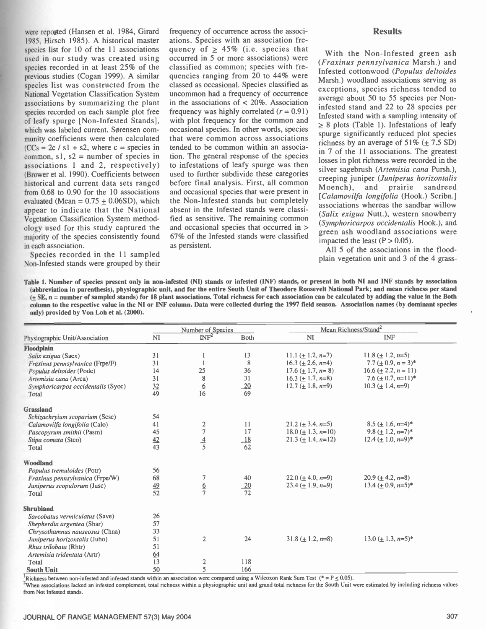were reported (Hansen et al. 1984, Girard 1985, Hirsch 1985). A historical master species list for 10 of the 11 associations used in our study was created using species recorded in at least 25% of the previous studies (Cogan 1999). A similar species list was constructed from the National Vegetation Classification System associations by summarizing the plant species recorded on each sample plot free of leafy spurge [Non- Infested Stands], which was labeled current. Sørensen community coefficients were then calculated  $(CCs = 2c / s1 + s2$ , where c = species in common,  $s1$ ,  $s2$  = number of species in associations 1 and 2, respectively) (Brower et al. 1990). Coefficients between historical and current data sets ranged from 0.68 to 0.90 for the 10 associations evaluated (Mean =  $0.75 \pm 0.06SD$ ), which appear to indicate that the National Vegetation Classification System methodology used for this study captured the majority of the species consistently found in each association.

Species recorded in the 11 sampled Non-Infested stands were grouped by their

frequency of occurrence across the associations. Species with an association frequency of  $\geq 45\%$  (i.e. species that occurred in 5 or more associations) were classified as common; species with frequencies ranging from 20 to 44% were classed as occasional. Species classified as uncommon had a frequency of occurrence in the associations of  $\lt$  20%. Association frequency was highly correlated  $(r = 0.91)$ with plot frequency for the common and occasional species. In other words, species that were common across associations tended to be common within an association. The general response of the species to infestations of leafy spurge was then used to further subdivide these categories before final analysis. First, all common<br>Moench), and occasional species that were present in the Non-Infested stands but completely absent in the Infested stands were classified as sensitive. The remaining common and occasional species that occurred in > 67% of the Infested stands were classified as persistent.

#### Results

With the Non-Infested green ash (Fraxinus pennsylvanica Marsh.) and Infested cottonwood (Populus deltoides Marsh.) woodland associations serving as exceptions, species richness tended to average about 50 to 55 species per Non infested stand and 22 to 28 species per Infested stand with a sampling intensity of  $\geq$  8 plots (Table 1). Infestations of leafy spurge significantly reduced plot species richness by an average of  $51\%$  (+ 7.5 SD) in 7 of the 11 associations. The greatest losses in plot richness were recorded in the silver sagebrush (Artemisia cana Pursh.), creeping juniper (Juniperus horizontalis and prairie sandreed [Calamovilfa longifolia (Hook.) Scribn.] associations whereas the sandbar willow (Salix exigua Nutt.), western snowberry (Symphoricarpos occidentalis Hook.), and green ash woodland associations were impacted the least  $(P > 0.05)$ .

All 5 of the associations in the flood plain vegetation unit and 3 of the 4 grass-

Table 1. Number of species present only in non-infested (NI) stands or infested (INF) stands, or present in both NI and INF stands by association (abbreviation in parenthesis), physiographic unit, and for the entire South Unit of Theodore Roosevelt National Park; and mean richness per stand  $(± SE$ , n = number of sampled stands) for 18 plant associations. Total richness for each association can be calculated by adding the value in the Both column to the respective value in the NI or INF column. Data were collected during the 1997 field season. Association names (by dominant species only) provided by Von Loh et al. (2000).

|                                    |           | Number of Species         |             |                         | Mean Richness/Stand <sup>2</sup>   |  |
|------------------------------------|-----------|---------------------------|-------------|-------------------------|------------------------------------|--|
| Physiographic Unit/Association     | <b>NI</b> | $\overline{\text{INF}^2}$ | <b>Both</b> | <b>NI</b>               | <b>INF</b>                         |  |
| Floodplain                         |           |                           |             |                         |                                    |  |
| Salix exigua (Saex)                | 31        |                           | 13          | 11.1 ( $\pm$ 1.2, n=7)  | 11.8 ( $\pm$ 1.2, n=5)             |  |
| Fraxinus pennsylvanica (Frpe/F)    | 31        |                           | 8           | $16.3 (+ 2.6, n=4)$     | $7.7 (\pm 0.9, n = 3)^*$           |  |
| Populus deltoides (Pode)           | 14        | 25                        | 36          | $17.6 \ (\pm 1.7, n=8)$ | 16.6 ( $\pm$ 2.2, $n = 11$ )       |  |
| Artemisia cana (Arca)              | 31        | 8                         | 31          | $16.3 (+ 1.7, n=8)$     | $7.6 (+ 0.7, n=11)^*$              |  |
| Symphoricarpos occidentalis (Syoc) | 32        | $\underline{6}$           | 20          | $12.7 (\pm 1.8, n=9)$   | $10.3 (+ 1.4, n=9)$                |  |
| Total                              | 49        | 16                        | 69          |                         |                                    |  |
| <b>Grassland</b>                   |           |                           |             |                         |                                    |  |
| Schizachryium scoparium (Scsc)     | 54        |                           |             |                         |                                    |  |
| Calamovilfa longifolia (Calo)      | 41        | $\frac{2}{7}$             | 11          | $21.2 \ (\pm 3.4, n=5)$ | $8.5 (+ 1.6, n=4)^*$               |  |
| Pascopyrum smithii (Pasm)          | 45        |                           | 17          | $18.0 (\pm 1.3, n=10)$  | 9.8 ( $\pm$ 1.2, n=7) <sup>*</sup> |  |
| Stipa comata (Stco)                | 42        | $\frac{4}{5}$             | 18          | $21.3 (+ 1.4, n=12)$    | $12.4 (+ 1.0, n=9)^*$              |  |
| Total                              | 43        |                           | 62          |                         |                                    |  |
| Woodland                           |           |                           |             |                         |                                    |  |
| Populus tremuloides (Potr)         | 56        |                           |             |                         |                                    |  |
| Fraxinus pennsylvanica (Frpe/W)    | 68        | 7                         | 40          | $22.0 (+ 4.0, n=9)$     | $20.9 (+ 4.2, n=8)$                |  |
| Juniperus scopulorum (Jusc)        | 49        | $rac{6}{7}$               | 20          | $23.4 (+ 1.9, n=9)$     | 13.4 $(+ 0.9, n=5)^*$              |  |
| Total                              | 52        |                           | 72          |                         |                                    |  |
| <b>Shrubland</b>                   |           |                           |             |                         |                                    |  |
| Sarcobatus vermiculatus (Save)     | 26        |                           |             |                         |                                    |  |
| Shepherdia argentea (Shar)         | 57        |                           |             |                         |                                    |  |
| Chrysothamnus nauseosus (Chna)     | 33        |                           |             |                         |                                    |  |
| Juniperus horizontalis (Juho)      | 51        | $\overline{2}$            | 24          | $31.8 \ (\pm 1.2, n=8)$ | $13.0 \ (\pm 1.3, n=5)^*$          |  |
| Rhus trilobata (Rhtr)              | 51        |                           |             |                         |                                    |  |
| Artemisia tridentata (Artr)        | 64        |                           |             |                         |                                    |  |
| Total                              | 13        | $\overline{\mathbf{c}}$   | 118         |                         |                                    |  |
| <b>South Unit</b>                  | 50        | 5                         | 166         |                         |                                    |  |

<sup>1</sup>Richness between non-infested and infested stands within an association were compared using a Wilcoxon Rank Sum Test (\* = P  $\leq$  0.05).

<sup>2</sup>When associations lacked an infested complement, total richness within a physiographic unit and grand total richness for the South Unit were estimated by including richness values from Not Infested stands.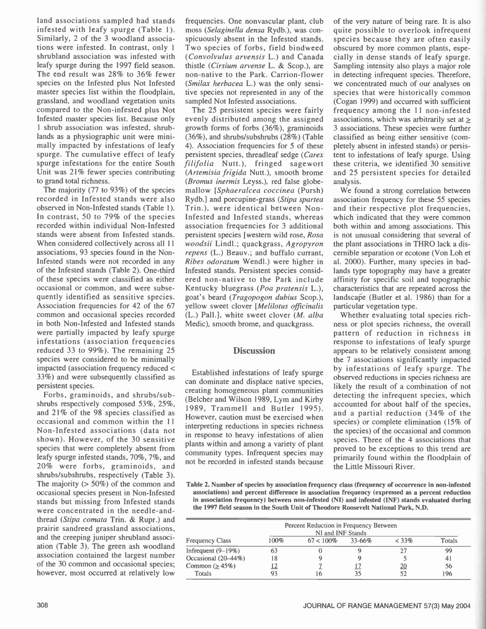land associations sampled had stands infested with leafy spurge (Table 1). Similarly, 2 of the 3 woodland associations were infested. In contrast, only 1 shrubland association was infested with leafy spurge during the 1997 field season. The end result was 28% to 36% fewer species on the Infested plus Not Infested master species list within the floodplain, grassland, and woodland vegetation units compared to the Non-infested plus Not Infested master species list. Because only 1 shrub association was infested, shrub lands as a physiographic unit were minimally impacted by infestations of leafy spurge. The cumulative effect of leafy spurge infestations for the entire South Unit was 21% fewer species contributing to grand total richness.

The majority (77 to 93%) of the species recorded in Infested stands were also observed in Non-Infested stands (Table 1). In contrast, 50 to 79% of the species recorded within individual Non - Infested stands were absent from Infested stands. When considered collectively across all 11 associations, 93 species found in the Non Infested stands were not recorded in any of the Infested stands (Table 2). One -third of these species were classified as either occasional or common, and were subsequently identified as sensitive species. Association frequencies for 42 of the 67 common and occasional species recorded in both Non-Infested and Infested stands were partially impacted by leafy spurge infestations (association frequencies reduced 33 to 99%). The remaining  $25$ species were considered to be minimally impacted (association frequency reduced < 33%) and were subsequently classified as persistent species.

Forbs, graminoids, and shrubs/subshrubs respectively composed 53%, 25%, and 21% of the 98 species classified as occasional and common within the 11 Non-Infested associations (data not shown). However, of the 30 sensitive species that were completely absent from leafy spurge infested stands, 70%, 7%, and 20% were forbs, graminoids, and shrubs/subshrubs, respectively (Table 3). The majority  $(50\%)$  of the common and occasional species present in Non - Infested stands but missing from Infested stands were concentrated in the needle-andthread (Stipa comata Trin. & Rupr.) and prairie sandreed grassland associations, and the creeping juniper shrubland association (Table 3). The green ash woodland association contained the largest number of the 30 common and occasional species; however, most occurred at relatively low

frequencies. One nonvascular plant, club moss (Selaginella densa Rydb.), was conspicuously absent in the Infested stands. Two species of forbs, field bindweed (Convolvulus arvensis L.) and Canada thistle (Cirsium arvense L. & Scop.), are non-native to the Park. Carrion-flower (Smilax herbacea L.) was the only sensitive species not represented in any of the sampled Not Infested associations.

The 25 persistent species were fairly evenly distributed among the assigned growth forms of forbs  $(36\%)$ , graminoids  $(36\%)$ , and shrubs/subshrubs  $(28\%)$  (Table 4). Association frequencies for 5 of these persistent species, threadleaf sedge (Carex filifolia Nutt.), fringed sagewort (Artemisia frigida Nutt.), smooth brome (Bromus inermis Leyss.), red false globe mallow [Sphaeralcea coccinea (Pursh) Rydb.] and porcupine -grass (Stipa spartea Trin.), were identical between Non-Infested and Infested stands, whereas association frequencies for 3 additional persistent species [western wild rose, Rosa woodsii Lindl.; quackgrass, Agropyron repens (L.) Beauv.; and buffalo currant, Ribes odoratum Wendl.) were higher in Infested stands. Persistent species considered non native to the Park include Kentucky bluegrass (Poa pratensis L.), goat's beard (Tragopogon dubius Scop.), yellow sweet clover [Melilotus officinalis (L.) Pall.], white sweet clover (M. alba Medic), smooth brome, and quackgrass.

# **Discussion**

Established infestations of leafy spurge can dominate and displace native species, creating homogeneous plant communities (Belcher and Wilson 1989, Lym and Kirby 1989, Trammell and Butler 1995). However, caution must be exercised when interpreting reductions in species richness in response to heavy infestations of alien plants within and among a variety of plant community types. Infrequent species may not be recorded in infested stands because

of the very nature of being rare. It is also quite possible to overlook infrequent species because they are often easily obscured by more common plants, especially in dense stands of leafy spurge. Sampling intensity also plays a major role in detecting infrequent species. Therefore, we concentrated much of our analyses on species that were historically common (Cogan 1999) and occurred with sufficient frequency among the 11 non-infested associations, which was arbitrarily set at  $\geq$ 3 associations. These species were further classified as being either sensitive (completely absent in infested stands) or persistent to infestations of leafy spurge. Using these criteria, we identified 30 sensitive and 25 persistent species for detailed analysis.

We found a strong correlation between association frequency for these 55 species and their respective plot frequencies, which indicated that they were common both within and among associations. This is not unusual considering that several of the plant associations in THRO lack a discernible separation or ecotone (Von Loh et al. 2000). Further, many species in badlands type topography may have a greater affinity for specific soil and topographic characteristics that are repeated across the landscape (Butler et al. 1986) than for a particular vegetation type.

Whether evaluating total species richness or plot species richness, the overall pattern of reduction in richness in response to infestations of leafy spurge appears to be relatively consistent among the 7 associations significantly impacted by infestations of leafy spurge. The observed reductions in species richness are likely the result of a combination of not detecting the infrequent species, which accounted for about half of the species, and a partial reduction (34% of the species) or complete elimination (15% of the species) of the occasional and common species. Three of the 4 associations that proved to be exceptions to this trend are primarily found within the floodplain of the Little Missouri River.

Table 2. Number of species by association frequency class (frequency of occurrence in non-infested associations) and percent difference in association frequency (expressed as a percent reduction in association frequency) between non-infested (NI) and infested (INF) stands evaluated during the 1997 field season in the South Unit of Theodore Roosevelt National Park, N.D.

| Percent Reduction in Frequency Between<br>NI and INF Stands |      |              |        |          |               |  |  |
|-------------------------------------------------------------|------|--------------|--------|----------|---------------|--|--|
| <b>Frequency Class</b>                                      | 100% | $67 < 100\%$ | 33-66% | $< 33\%$ | <b>Totals</b> |  |  |
| Infrequent $(9-19%)$                                        | 63   |              |        |          | 99            |  |  |
| Occasional (20–44%)                                         | 18   |              |        |          | 41            |  |  |
| Common $( \geq 45\%)$                                       |      |              |        |          | 56            |  |  |
| Totals                                                      | 93   | h            |        |          | 196           |  |  |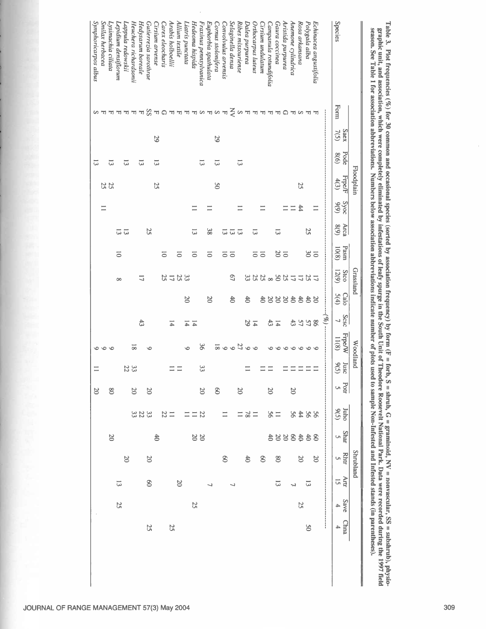|                                   |      |                     |              | Floodplain            |                  |                                         |                    | Grassland                   |                 |                                  | <b>Woodland</b>        |                    |            |                 |                       | <b>Shrubland</b>  |                     |           |              |
|-----------------------------------|------|---------------------|--------------|-----------------------|------------------|-----------------------------------------|--------------------|-----------------------------|-----------------|----------------------------------|------------------------|--------------------|------------|-----------------|-----------------------|-------------------|---------------------|-----------|--------------|
| Species                           | Form | <b>Saex</b><br>7(5) | Pode<br>(9)8 | <b>Frpe/F</b><br>4(3) | $5/90$<br>$9(9)$ | Arca<br>8(9)                            | Pasm<br>10(8)      | 12(9)<br><b>Stco</b>        | 5(4)<br>Calo    | Scsc<br>$\overline{\phantom{0}}$ | <b>Frpe/W</b><br>11(8) | $\frac{Jus}{9(5)}$ | Potr<br>U) | Juho<br>9(5)    | <b>Shar</b><br>$\cup$ | <b>Rhtr</b><br>U) | Artr<br><u>g</u>    | Save<br>4 | <b>China</b> |
|                                   |      |                     |              |                       |                  |                                         |                    |                             |                 | $- (26)$                         |                        |                    |            |                 |                       |                   |                     |           |              |
| Echinacea angustifolia            |      |                     |              |                       | $\equiv$         |                                         |                    |                             |                 |                                  |                        |                    |            |                 |                       | $\infty$          |                     |           |              |
| Polygala alba                     |      |                     |              |                       |                  | 25                                      | $\frac{20}{30}$    |                             |                 |                                  |                        |                    |            |                 |                       |                   | $\overline{\omega}$ |           | 9S           |
| Rosa arkansana                    |      |                     |              | 25                    | #                |                                         |                    | <b>1211122882223</b>        | 23332223        | <b>SS 57</b>                     | 000                    |                    |            | 8288            | 8338335               | $\infty$          |                     | 52        |              |
| Anemone cylindrica                |      |                     |              |                       | $\equiv$         |                                         |                    |                             |                 | 43                               | $\circ$                |                    | $\infty$   |                 |                       |                   | J,                  |           |              |
| Aristida purpurea                 |      |                     |              |                       |                  |                                         |                    |                             |                 |                                  | $\circ$                |                    |            |                 |                       |                   |                     |           |              |
| Gaura coccinea                    |      |                     |              |                       |                  | $\overline{\omega}$                     | $\frac{10}{20}$    |                             |                 |                                  | $\circ$                |                    |            |                 |                       | $8^{\circ}$       | $\overline{\omega}$ |           |              |
| Campanula rotundifolia            |      |                     |              |                       |                  |                                         |                    |                             |                 | $\frac{14}{43}$                  |                        | $\equiv$           | $\infty$   | 28              |                       |                   |                     |           |              |
| Cirsium undulatum                 |      |                     |              |                       |                  |                                         |                    |                             |                 |                                  |                        |                    |            |                 |                       | $\infty$          |                     |           |              |
| <b>Irthocarpus</b> luteus         |      |                     |              |                       |                  | ದ                                       | $\overline{5}$     |                             |                 |                                  |                        |                    |            |                 |                       |                   |                     |           |              |
| <b>Jalea</b> purpurea             |      |                     |              |                       |                  |                                         |                    |                             | $\frac{4}{3}$   | $\frac{14}{2}$                   |                        | $\equiv$           |            | $\frac{11}{28}$ |                       | $\ddot{\sigma}$   |                     |           |              |
| Ribes missouriense                |      |                     | 5            |                       |                  |                                         |                    |                             |                 |                                  |                        |                    | $\infty$   | $\equiv$        |                       |                   |                     |           |              |
| Selaginella densa                 |      |                     |              |                       |                  | $\overline{55}$                         |                    | $\mathcal{L}^{\mathcal{D}}$ | $\frac{4}{3}$   |                                  | 0.020000               |                    |            |                 |                       |                   | ┙                   |           |              |
| Convolvulus arvensis              |      |                     |              |                       |                  |                                         | ៑៑                 |                             |                 |                                  |                        |                    |            |                 |                       | $\infty$          |                     |           |              |
| Cornus stolonifera                |      | 29                  | ದ            | 9S                    |                  |                                         |                    |                             |                 |                                  |                        |                    | $\infty$   |                 |                       |                   |                     |           |              |
| Euphorbia spathulata              |      |                     |              |                       |                  | 38                                      | ō                  |                             | $\overline{50}$ |                                  |                        |                    |            |                 |                       |                   | ر                   |           |              |
| 'raxinus pennsylvanica            |      |                     | ದ            |                       |                  |                                         |                    |                             |                 |                                  | 96                     | $\mathfrak{z}$     | $20\,$     | 22              | $\frac{20}{20}$       |                   |                     |           |              |
| <sup>Hedeoma</sup> hispida        |      |                     |              |                       |                  | ದ                                       | 5                  |                             |                 | $\frac{14}{4}$                   |                        |                    |            |                 |                       |                   |                     | 25        |              |
| iatris punctata                   |      |                     |              |                       |                  |                                         |                    |                             | $\overline{50}$ |                                  |                        |                    |            |                 |                       |                   |                     |           |              |
| Allium textile                    |      |                     |              |                       |                  |                                         | $\overline{\circ}$ |                             |                 |                                  |                        |                    |            |                 |                       |                   | $\infty$            |           |              |
| Arabis holboellii                 |      |                     |              |                       |                  |                                         |                    | $332 - 22$                  |                 | $\overline{4}$                   |                        |                    |            | $\frac{1}{22}$  |                       |                   |                     |           | 25           |
| Carex eleocharis                  |      |                     |              |                       |                  |                                         | 5                  |                             |                 |                                  |                        |                    |            |                 |                       |                   |                     |           |              |
| Cirsium arvense                   |      | 29                  | ದ            | 25                    |                  |                                         |                    |                             |                 |                                  |                        |                    |            |                 | #                     |                   |                     |           |              |
| Gutierrezia sarothrae             |      |                     |              |                       |                  | 25                                      |                    |                             |                 |                                  | ۰                      |                    | $\infty$   | 3223            |                       | $\infty$          | $\otimes$           |           | 25           |
| Hedysarum boreale                 |      |                     | ದ            |                       |                  |                                         |                    | コ                           |                 | 43                               |                        |                    |            |                 |                       |                   |                     |           |              |
| <sup>H</sup> euchera richardsonii |      |                     |              |                       |                  |                                         |                    |                             |                 |                                  | $\infty$               | 33<br>22           | $\geq 0$   |                 |                       |                   |                     |           |              |
| Appula redowskii                  |      |                     | ದ            |                       |                  |                                         |                    |                             |                 |                                  |                        |                    |            |                 |                       | $\infty$          |                     |           |              |
| Lepidium densiflorum.             |      |                     |              |                       |                  | $\overline{\omega}$ $\overline{\omega}$ | $\overline{\circ}$ | $\infty$                    |                 |                                  |                        |                    |            |                 |                       |                   | $\overline{\omega}$ | 25        |              |
| ysimachia ciliata.                |      |                     | ದ            | <b>25</b>             |                  |                                         |                    |                             |                 |                                  |                        |                    | $\infty$   |                 | $\infty$              |                   |                     |           |              |
| Smilax herbacea                   |      |                     |              |                       |                  |                                         |                    |                             |                 |                                  |                        |                    |            |                 |                       |                   |                     |           |              |
| Symphoricarpos albus              |      |                     | ದ            |                       |                  |                                         |                    |                             |                 |                                  |                        | $\equiv$           | $\infty$   |                 |                       |                   |                     |           |              |

 $\Gamma$ able 3. Plot frequencies (%) for 30 common and occasional species (sorted by association frequency) by form (F = forb, S = shrub, G = Table 3. Plot frequencies (%) for 30 common and occasional species (sorted by assoc Table 3. Plot frequencies (%) for 30 common and occasional species (sorted by association frequency) by form (F = forb, S = shrub, G = graminoid, NV = nonvascular, SS = subshrub), physio-<br>graphic unit, and association, wh

Symphoricarpos albus

 $\overline{\phantom{a}}$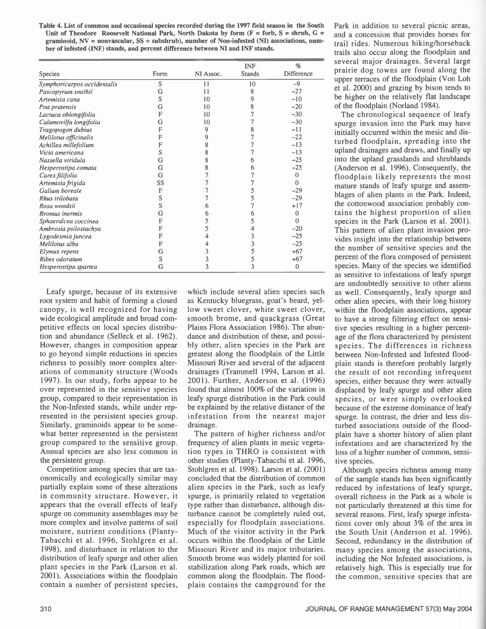Table 4. List of common and occasional species recorded during the 1997 field season in the South Unit of Theodore Roosevelt National Park, North Dakota by form  $(F =$  forb,  $S =$  shrub,  $G =$ graminoid,  $NV =$  nonvascular,  $SS =$  subshrub), number of Non-infested (NI) associations, number of infested (INF) stands, and percent difference between NI and INF stands.

|                             |      |           | <b>INF</b>    | $\%$         | several             |
|-----------------------------|------|-----------|---------------|--------------|---------------------|
| <b>Species</b>              | Form | NI Assoc. | <b>Stands</b> | Difference   | prairie             |
| Symphoricarpos occidentalis | S    | 11        | 10            | $-9$         | upper to            |
| Pascopyrum smithii          | G    | 11        | 8             | $-27$        | et al. $20$         |
| Artemisia cana              | S    | 10        | 9             | $-10$        | be high             |
| Poa pratensis               | G    | 10        | 8             | $-20$        | of the fl           |
| Lactuca oblongifolia        | F    | 10        |               | $-30$        | The $\triangleleft$ |
| Calamovilfa longifolia      | G    | 10        |               | $-30$        | spurge              |
| Tragopogon dubius           |      | 9         |               | $-11$        | initially           |
| Melilotus officinalis       | F    |           |               | $-22$        |                     |
| Achillea millefolium        |      |           |               | $-13$        | turbed              |
| Vicia americana             | S    |           |               | $-13$        | upland              |
| Nassella viridula           | G    | 8         | 6             | $-25$        | into the            |
| Hesperostipa comata         | G    |           | 6             | $-25$        | (Anders             |
| Carex filifolia             | G    |           |               | 0            | floodp              |
| Artemisia frigida           | SS   |           |               | $\Omega$     | mature              |
| Galium boreale              | F    |           |               | $-29$        |                     |
| Rhus trilobata              | S    |           |               | $-29$        | blages              |
| Rosa woodsii                | S    |           |               | $+17$        | the cott            |
| <b>Bromus</b> inermis       | G    |           |               | $\mathbf{0}$ | tains t             |
| Sphaeralcea coccinea        |      |           |               | $\Omega$     | species             |
| Ambrosia psilostachya       |      |           |               | $-20$        | This pa             |
| Lygodesmia juncea           |      |           | 3             | $-25$        | vides in            |
| Melilotus alba              |      |           | 3             | $-25$        |                     |
| Elymus repens               | G    |           |               | $+67$        | the nur             |
| Ribes odoratum              | S    |           | 5             | $+67$        | percent             |
| Hesperostipa spartea        | G    | 3         | 3             | $\bf{0}$     | species.            |

Leafy spurge, because of its extensive root system and habit of forming a closed canopy, is well recognized for having wide ecological amplitude and broad competitive effects on local species distribution and abundance (Selleck et al. 1962). However, changes in composition appear to go beyond simple reductions in species richness to possibly more complex alterations of community structure (Woods 1997). In our study, forbs appear to be over represented in the sensitive species group, compared to their representation in the Non-Infested stands, while under represented in the persistent species group. Similarly, graminoids appear to be somewhat better represented in the persistent group compared to the sensitive group. Annual species are also less common in the persistent group.

Competition among species that are taxonomically and ecologically similar may partially explain some of these alterations in community structure. However, it appears that the overall effects of leafy spurge on community assemblages may be more complex and involve patterns of soil moisture, nutrient conditions (Planty-Tabacchi et al. 1996, Stohlgren et al. 1998), and disturbance in relation to the distribution of leafy spurge and other alien plant species in the Park (Larson et al. 2001). Associations within the floodplain contain a number of persistent species,

which include several alien species such as Kentucky bluegrass, goat's beard, yellow sweet clover, white sweet clover, smooth brome, and quackgrass (Great Plains Flora Association 1986). The abundance and distribution of these, and possibly other, alien species in the Park are greatest along the floodplain of the Little Missouri River and several of the adjacent drainages (Trammell 1994, Larson et al. 2001). Further, Anderson et al. (1996) found that almost 100% of the variation in leafy spurge distribution in the Park could be explained by the relative distance of the infestation from the nearest major drainage.

The pattern of higher richness and/or frequency of alien plants in mesic vegetation types in THRO is consistent with other studies (Planty-Tabacchi et al. 1996, Stohlgren et al. 1998). Larson et al. (2001) concluded that the distribution of common alien species in the Park, such as leafy spurge, is primarily related to vegetation type rather than disturbance, although disturbance cannot be completely ruled out, especially for floodplain associations. Much of the visitor activity in the Park occurs within the floodplain of the Little Missouri River and its major tributaries. Smooth brome was widely planted for soil stabilization along Park roads, which are common along the floodplain. The floodplain contains the campground for the

Park in addition to several picnic areas, and a concession that provides horses for trail rides. Numerous hiking/horseback trails also occur along the floodplain and several major drainages. Several large prairie dog towns are found along the upper terraces of the floodplain (Von Loh et al. 2000) and grazing by bison tends to be higher on the relatively flat landscape of the floodplain (Norland 1984).

The chronological sequence of leafy spurge invasion into the Park may have initially occurred within the mesic and disturbed floodplain, spreading into the upland drainages and draws, and finally up into the upland grasslands and shrublands (Anderson et al. 1996). Consequently, the floodplain likely represents the most mature stands of leafy spurge and assemblages of alien plants in the Park. Indeed, the cottonwood association probably contains the highest proportion of alien species in the Park (Larson et al. 2001). This pattern of alien plant invasion provides insight into the relationship between the number of sensitive species and the percent of the flora composed of persistent species. Many of the species we identified as sensitive to infestations of leafy spurge are undoubtedly sensitive to other aliens as well. Consequently, leafy spurge and other alien species, with their long history within the floodplain associations, appear to have a strong filtering effect on sensitive species resulting in a higher percentage of the flora characterized by persistent species. The differences in richness between Non-Infested and Infested floodplain stands is therefore probably largely the result of not recording infrequent species, either because they were actually displaced by leafy spurge and other alien species, or were simply overlooked because of the extreme dominance of leafy spurge. In contrast, the drier and less disturbed associations outside of the flood plain have a shorter history of alien plant infestations and are characterized by the loss of a higher number of common, sensitive species.

Although species richness among many of the sample stands has been significantly reduced by infestations of leafy spurge, overall richness in the Park as a whole is not particularly threatened at this time for several reasons. First, leafy spurge infestations cover only about 3% of the area in the South Unit (Anderson et al. 1996). Second, redundancy in the distribution of many species among the associations, including the Not Infested associations, is relatively high. This is especially true for the common, sensitive species that are